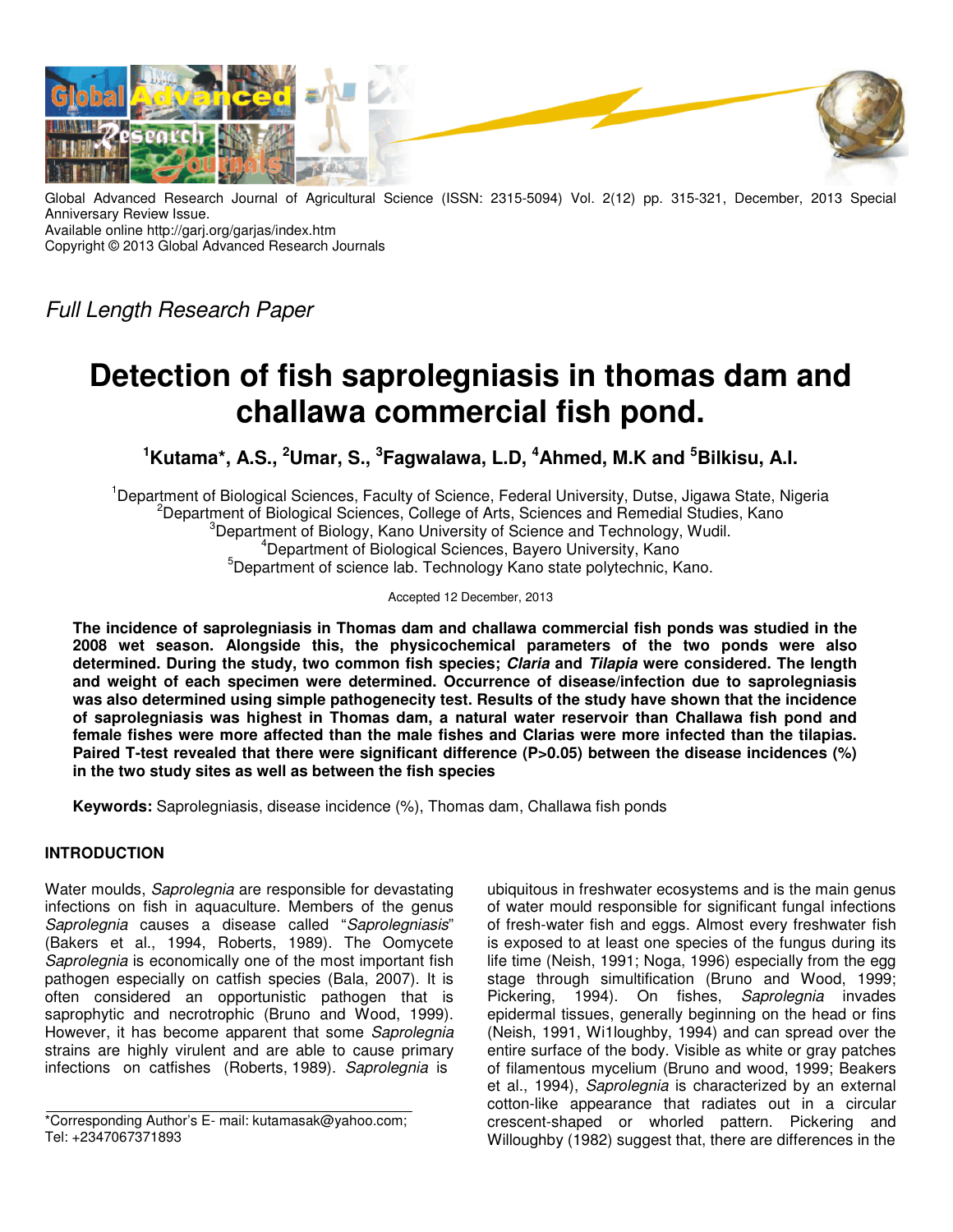

Global Advanced Research Journal of Agricultural Science (ISSN: 2315-5094) Vol. 2(12) pp. 315-321, December, 2013 Special Anniversary Review Issue. Available online http://garj.org/garjas/index.htm

Copyright © 2013 Global Advanced Research Journals

Full Length Research Paper

# **Detection of fish saprolegniasis in thomas dam and challawa commercial fish pond.**

**<sup>1</sup>Kutama\*, A.S., <sup>2</sup>Umar, S., <sup>3</sup> Fagwalawa, L.D, <sup>4</sup>Ahmed, M.K and <sup>5</sup>Bilkisu, A.I.** 

<sup>1</sup>Department of Biological Sciences, Faculty of Science, Federal University, Dutse, Jigawa State, Nigeria <sup>2</sup>Department of Biological Sciences, College of Arts, Sciences and Remedial Studies, Kano <sup>3</sup>Department of Biology, Kano University of Science and Technology, Wudil. <sup>4</sup>Department of Biological Sciences, Bayero University, Kano  $5$ Department of science lab. Technology Kano state polytechnic, Kano.

Accepted 12 December, 2013

**The incidence of saprolegniasis in Thomas dam and challawa commercial fish ponds was studied in the 2008 wet season. Alongside this, the physicochemical parameters of the two ponds were also determined. During the study, two common fish species; Claria and Tilapia were considered. The length and weight of each specimen were determined. Occurrence of disease/infection due to saprolegniasis was also determined using simple pathogenecity test. Results of the study have shown that the incidence of saprolegniasis was highest in Thomas dam, a natural water reservoir than Challawa fish pond and female fishes were more affected than the male fishes and Clarias were more infected than the tilapias.**  Paired T-test revealed that there were significant difference (P>0.05) between the disease incidences (%) **in the two study sites as well as between the fish species** 

**Keywords:** Saprolegniasis, disease incidence (%), Thomas dam, Challawa fish ponds

## **INTRODUCTION**

Water moulds, Saprolegnia are responsible for devastating infections on fish in aquaculture. Members of the genus Saprolegnia causes a disease called "Saprolegniasis" (Bakers et al., 1994, Roberts, 1989). The Oomycete Saprolegnia is economically one of the most important fish pathogen especially on catfish species (Bala, 2007). It is often considered an opportunistic pathogen that is saprophytic and necrotrophic (Bruno and Wood, 1999). However, it has become apparent that some Saprolegnia strains are highly virulent and are able to cause primary infections on catfishes (Roberts, 1989). Saprolegnia is

\*Corresponding Author's E- mail: kutamasak@yahoo.com; Tel: +2347067371893

ubiquitous in freshwater ecosystems and is the main genus of water mould responsible for significant fungal infections of fresh-water fish and eggs. Almost every freshwater fish is exposed to at least one species of the fungus during its life time (Neish, 1991; Noga, 1996) especially from the egg stage through simultification (Bruno and Wood, 1999; Pickering, 1994). On fishes, Saprolegnia invades epidermal tissues, generally beginning on the head or fins (Neish, 1991, Wi1loughby, 1994) and can spread over the entire surface of the body. Visible as white or gray patches of filamentous mycelium (Bruno and wood, 1999; Beakers et al., 1994), Saprolegnia is characterized by an external cotton-like appearance that radiates out in a circular crescent-shaped or whorled pattern. Pickering and Willoughby (1982) suggest that, there are differences in the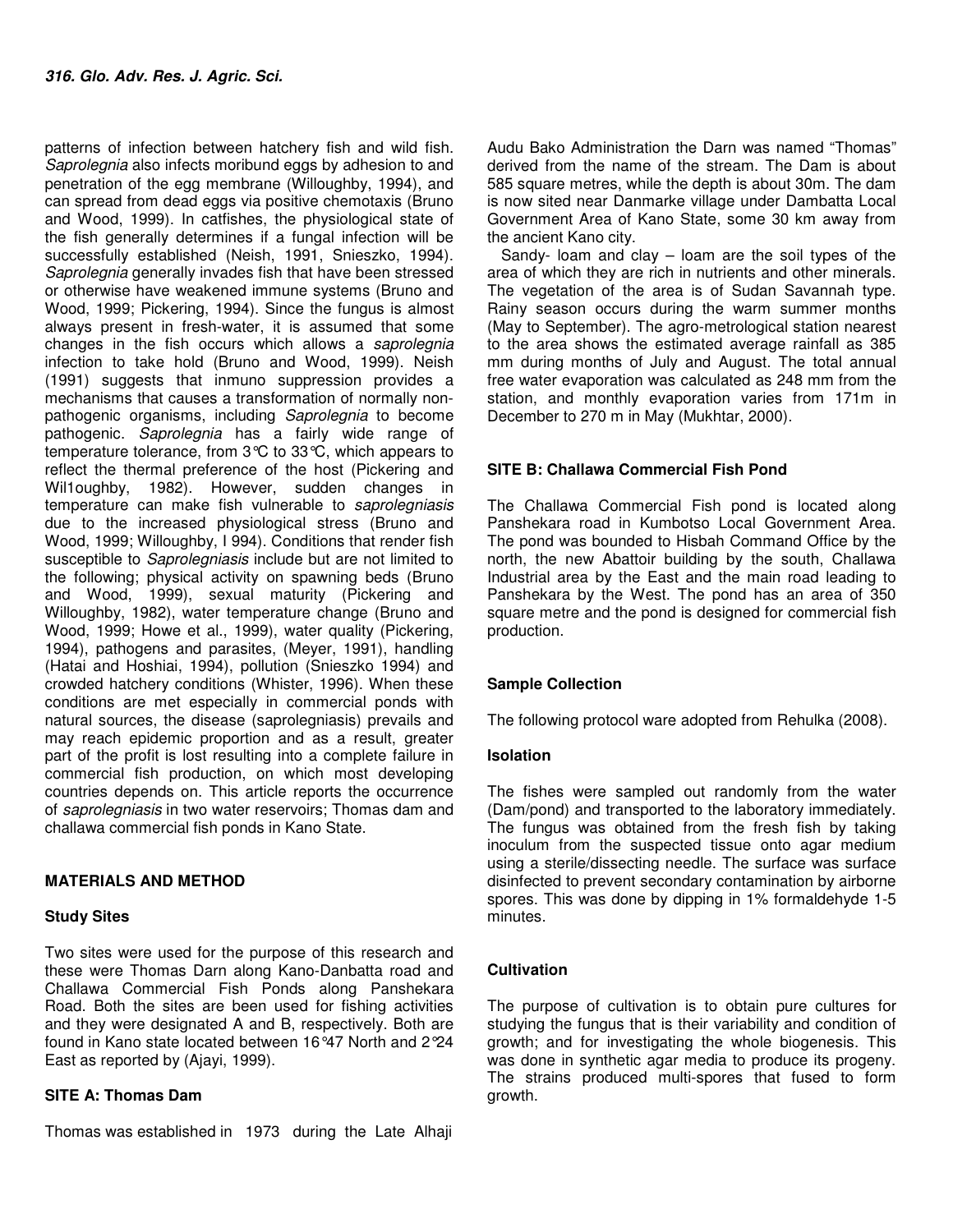patterns of infection between hatchery fish and wild fish. Saprolegnia also infects moribund eggs by adhesion to and penetration of the egg membrane (Willoughby, 1994), and can spread from dead eggs via positive chemotaxis (Bruno and Wood, 1999). In catfishes, the physiological state of the fish generally determines if a fungal infection will be successfully established (Neish, 1991, Snieszko, 1994). Saprolegnia generally invades fish that have been stressed or otherwise have weakened immune systems (Bruno and Wood, 1999; Pickering, 1994). Since the fungus is almost always present in fresh-water, it is assumed that some changes in the fish occurs which allows a saprolegnia infection to take hold (Bruno and Wood, 1999). Neish (1991) suggests that inmuno suppression provides a mechanisms that causes a transformation of normally nonpathogenic organisms, including Saprolegnia to become pathogenic. Saprolegnia has a fairly wide range of temperature tolerance, from 3°C to 33°C, which appears to reflect the thermal preference of the host (Pickering and Wil1oughby, 1982). However, sudden changes in temperature can make fish vulnerable to saprolegniasis due to the increased physiological stress (Bruno and Wood, 1999; Willoughby, I 994). Conditions that render fish susceptible to *Saprolegniasis* include but are not limited to the following; physical activity on spawning beds (Bruno and Wood, 1999), sexual maturity (Pickering and Willoughby, 1982), water temperature change (Bruno and Wood, 1999; Howe et al., 1999), water quality (Pickering, 1994), pathogens and parasites, (Meyer, 1991), handling (Hatai and Hoshiai, 1994), pollution (Snieszko 1994) and crowded hatchery conditions (Whister, 1996). When these conditions are met especially in commercial ponds with natural sources, the disease (saprolegniasis) prevails and may reach epidemic proportion and as a result, greater part of the profit is lost resulting into a complete failure in commercial fish production, on which most developing countries depends on. This article reports the occurrence of saprolegniasis in two water reservoirs; Thomas dam and challawa commercial fish ponds in Kano State.

## **MATERIALS AND METHOD**

## **Study Sites**

Two sites were used for the purpose of this research and these were Thomas Darn along Kano-Danbatta road and Challawa Commercial Fish Ponds along Panshekara Road. Both the sites are been used for fishing activities and they were designated A and B, respectively. Both are found in Kano state located between 16°47 North and 2°24 East as reported by (Ajayi, 1999).

## **SITE A: Thomas Dam**

Thomas was established in 1973 during the Late Alhaji

Audu Bako Administration the Darn was named "Thomas" derived from the name of the stream. The Dam is about 585 square metres, while the depth is about 30m. The dam is now sited near Danmarke village under Dambatta Local Government Area of Kano State, some 30 km away from the ancient Kano city.

Sandy- loam and clay – loam are the soil types of the area of which they are rich in nutrients and other minerals. The vegetation of the area is of Sudan Savannah type. Rainy season occurs during the warm summer months (May to September). The agro-metrological station nearest to the area shows the estimated average rainfall as 385 mm during months of July and August. The total annual free water evaporation was calculated as 248 mm from the station, and monthly evaporation varies from 171m in December to 270 m in May (Mukhtar, 2000).

# **SITE B: Challawa Commercial Fish Pond**

The Challawa Commercial Fish pond is located along Panshekara road in Kumbotso Local Government Area. The pond was bounded to Hisbah Command Office by the north, the new Abattoir building by the south, Challawa Industrial area by the East and the main road leading to Panshekara by the West. The pond has an area of 350 square metre and the pond is designed for commercial fish production.

## **Sample Collection**

The following protocol ware adopted from Rehulka (2008).

## **Isolation**

The fishes were sampled out randomly from the water (Dam/pond) and transported to the laboratory immediately. The fungus was obtained from the fresh fish by taking inoculum from the suspected tissue onto agar medium using a sterile/dissecting needle. The surface was surface disinfected to prevent secondary contamination by airborne spores. This was done by dipping in 1% formaldehyde 1-5 minutes.

# **Cultivation**

The purpose of cultivation is to obtain pure cultures for studying the fungus that is their variability and condition of growth; and for investigating the whole biogenesis. This was done in synthetic agar media to produce its progeny. The strains produced multi-spores that fused to form growth.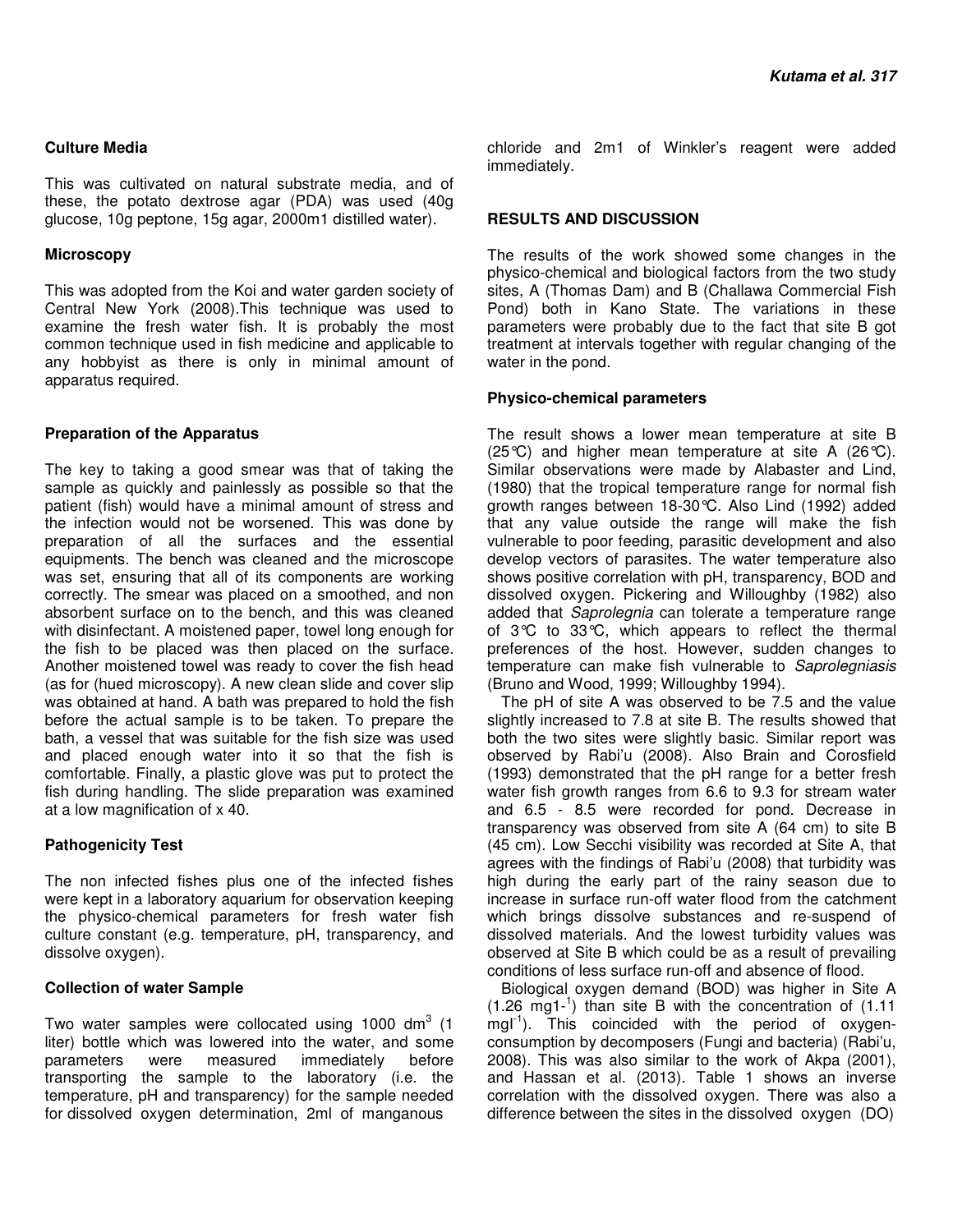#### **Culture Media**

This was cultivated on natural substrate media, and of these, the potato dextrose agar (PDA) was used (40g glucose, 10g peptone, 15g agar, 2000m1 distilled water).

#### **Microscopy**

This was adopted from the Koi and water garden society of Central New York (2008).This technique was used to examine the fresh water fish. It is probably the most common technique used in fish medicine and applicable to any hobbyist as there is only in minimal amount of apparatus required.

#### **Preparation of the Apparatus**

The key to taking a good smear was that of taking the sample as quickly and painlessly as possible so that the patient (fish) would have a minimal amount of stress and the infection would not be worsened. This was done by preparation of all the surfaces and the essential equipments. The bench was cleaned and the microscope was set, ensuring that all of its components are working correctly. The smear was placed on a smoothed, and non absorbent surface on to the bench, and this was cleaned with disinfectant. A moistened paper, towel long enough for the fish to be placed was then placed on the surface. Another moistened towel was ready to cover the fish head (as for (hued microscopy). A new clean slide and cover slip was obtained at hand. A bath was prepared to hold the fish before the actual sample is to be taken. To prepare the bath, a vessel that was suitable for the fish size was used and placed enough water into it so that the fish is comfortable. Finally, a plastic glove was put to protect the fish during handling. The slide preparation was examined at a low magnification of x 40.

#### **Pathogenicity Test**

The non infected fishes plus one of the infected fishes were kept in a laboratory aquarium for observation keeping the physico-chemical parameters for fresh water fish culture constant (e.g. temperature, pH, transparency, and dissolve oxygen).

#### **Collection of water Sample**

Two water samples were collocated using 1000 dm<sup>3</sup> (1 liter) bottle which was lowered into the water, and some parameters were measured immediately before transporting the sample to the laboratory (i.e. the temperature, pH and transparency) for the sample needed for dissolved oxygen determination, 2ml of manganous

chloride and 2m1 of Winkler's reagent were added immediately.

#### **RESULTS AND DISCUSSION**

The results of the work showed some changes in the physico-chemical and biological factors from the two study sites, A (Thomas Dam) and B (Challawa Commercial Fish Pond) both in Kano State. The variations in these parameters were probably due to the fact that site B got treatment at intervals together with regular changing of the water in the pond.

#### **Physico-chemical parameters**

The result shows a lower mean temperature at site B (25 $\degree$ C) and higher mean temperature at site A (26 $\degree$ C). Similar observations were made by Alabaster and Lind, (1980) that the tropical temperature range for normal fish growth ranges between 18-30°C. Also Lind (1992) added that any value outside the range will make the fish vulnerable to poor feeding, parasitic development and also develop vectors of parasites. The water temperature also shows positive correlation with pH, transparency, BOD and dissolved oxygen. Pickering and Willoughby (1982) also added that Saprolegnia can tolerate a temperature range of 3°C to 33°C, which appears to reflect the thermal preferences of the host. However, sudden changes to temperature can make fish vulnerable to Saprolegniasis (Bruno and Wood, 1999; Willoughby 1994).

The pH of site A was observed to be 7.5 and the value slightly increased to 7.8 at site B. The results showed that both the two sites were slightly basic. Similar report was observed by Rabi'u (2008). Also Brain and Corosfield (1993) demonstrated that the pH range for a better fresh water fish growth ranges from 6.6 to 9.3 for stream water and 6.5 - 8.5 were recorded for pond. Decrease in transparency was observed from site A (64 cm) to site B (45 cm). Low Secchi visibility was recorded at Site A, that agrees with the findings of Rabi'u (2008) that turbidity was high during the early part of the rainy season due to increase in surface run-off water flood from the catchment which brings dissolve substances and re-suspend of dissolved materials. And the lowest turbidity values was observed at Site B which could be as a result of prevailing conditions of less surface run-off and absence of flood.

Biological oxygen demand (BOD) was higher in Site A (1.26 mg1-<sup>1</sup> ) than site B with the concentration of (1.11 mgl<sup>-1</sup>). This coincided with the period of oxygenconsumption by decomposers (Fungi and bacteria) (Rabi'u, 2008). This was also similar to the work of Akpa (2001), and Hassan et al. (2013). Table 1 shows an inverse correlation with the dissolved oxygen. There was also a difference between the sites in the dissolved oxygen (DO)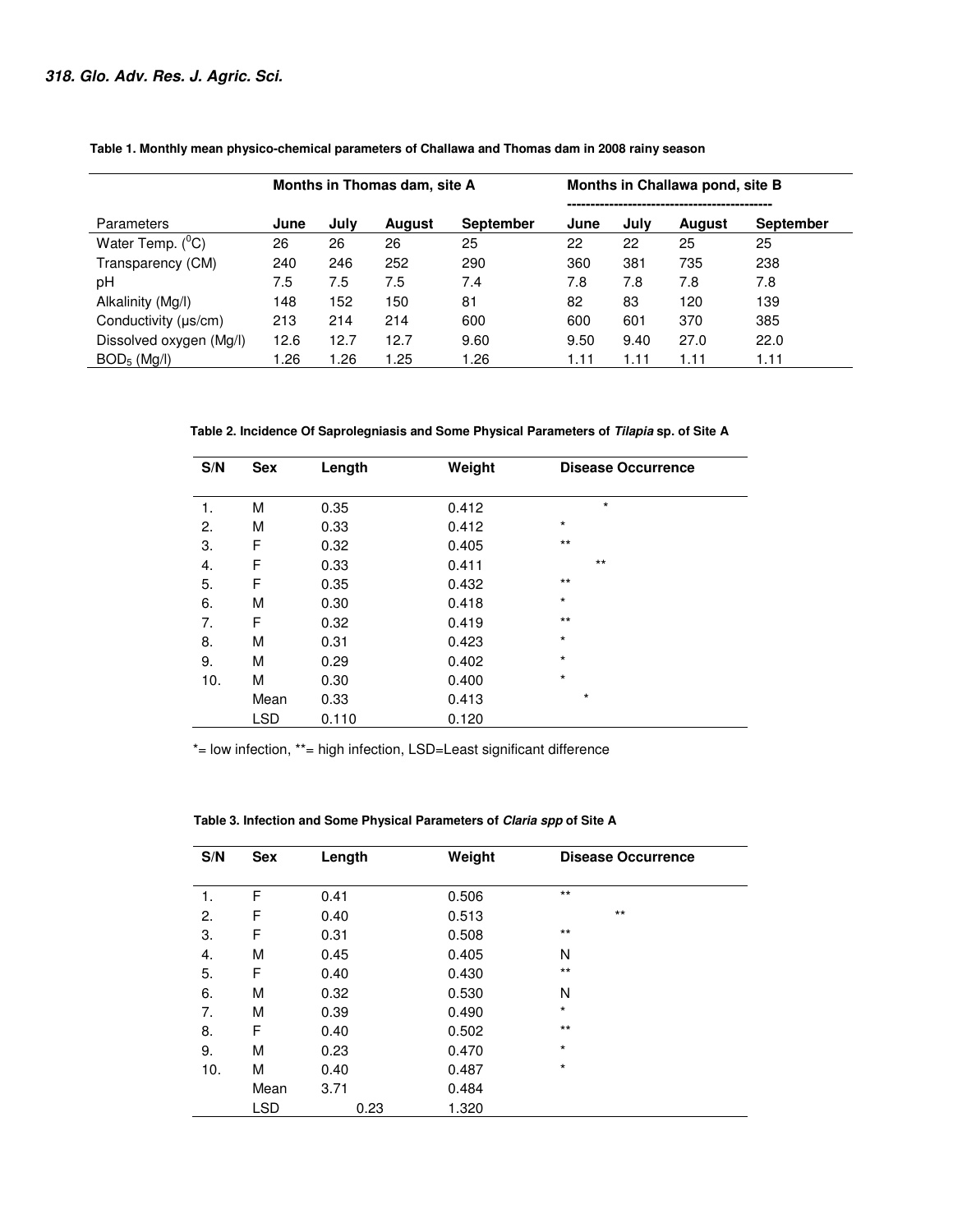|                             | Months in Thomas dam, site A |      |               | Months in Challawa pond, site B |      |      |        |                  |
|-----------------------------|------------------------------|------|---------------|---------------------------------|------|------|--------|------------------|
|                             |                              |      |               |                                 |      |      |        |                  |
| <b>Parameters</b>           | June                         | Julv | <b>August</b> | <b>September</b>                | June | July | August | <b>September</b> |
| Water Temp. $(^0C)$         | 26                           | 26   | 26            | 25                              | 22   | 22   | 25     | 25               |
| Transparency (CM)           | 240                          | 246  | 252           | 290                             | 360  | 381  | 735    | 238              |
| рH                          | 7.5                          | 7.5  | 7.5           | 7.4                             | 7.8  | 7.8  | 7.8    | 7.8              |
| Alkalinity (Mg/l)           | 148                          | 152  | 150           | 81                              | 82   | 83   | 120    | 139              |
| Conductivity ( $\mu s/cm$ ) | 213                          | 214  | 214           | 600                             | 600  | 601  | 370    | 385              |
| Dissolved oxygen (Mg/l)     | 12.6                         | 12.7 | 12.7          | 9.60                            | 9.50 | 9.40 | 27.0   | 22.0             |
| BOD <sub>5</sub> (Ma/l)     | .26                          | 1.26 | 1.25          | 1.26                            | 1.11 | 1.11 | 1.11   | 1.11             |

 **Table 1. Monthly mean physico-chemical parameters of Challawa and Thomas dam in 2008 rainy season** 

 **Table 2. Incidence Of Saprolegniasis and Some Physical Parameters of Tilapia sp. of Site A** 

| S/N | <b>Sex</b> | Length | Weight | <b>Disease Occurrence</b> |
|-----|------------|--------|--------|---------------------------|
| 1.  | M          | 0.35   | 0.412  | $\star$                   |
| 2.  | M          | 0.33   | 0.412  | $\star$                   |
| 3.  | F          | 0.32   | 0.405  | $***$                     |
| 4.  | F          | 0.33   | 0.411  | $***$                     |
| 5.  | F          | 0.35   | 0.432  | $***$                     |
| 6.  | M          | 0.30   | 0.418  | $\star$                   |
| 7.  | F          | 0.32   | 0.419  | $***$                     |
| 8.  | M          | 0.31   | 0.423  | $\star$                   |
| 9.  | M          | 0.29   | 0.402  | $\star$                   |
| 10. | M          | 0.30   | 0.400  | $\star$                   |
|     | Mean       | 0.33   | 0.413  | $\star$                   |
|     | <b>LSD</b> | 0.110  | 0.120  |                           |

\*= low infection, \*\*= high infection, LSD=Least significant difference

| S/N | <b>Sex</b> | Length | Weight | <b>Disease Occurrence</b> |
|-----|------------|--------|--------|---------------------------|
| 1.  | F          | 0.41   | 0.506  | $***$                     |
| 2.  | F          | 0.40   | 0.513  | $***$                     |
| 3.  | F          | 0.31   | 0.508  | $***$                     |
| 4.  | M          | 0.45   | 0.405  | N                         |
| 5.  | F          | 0.40   | 0.430  | $***$                     |
| 6.  | М          | 0.32   | 0.530  | N                         |
| 7.  | M          | 0.39   | 0.490  | $\star$                   |
| 8.  | F          | 0.40   | 0.502  | $***$                     |
| 9.  | M          | 0.23   | 0.470  | $\star$                   |
| 10. | М          | 0.40   | 0.487  | $\star$                   |
|     | Mean       | 3.71   | 0.484  |                           |
|     | LSD        | 0.23   | 1.320  |                           |

 **Table 3. Infection and Some Physical Parameters of Claria spp of Site A**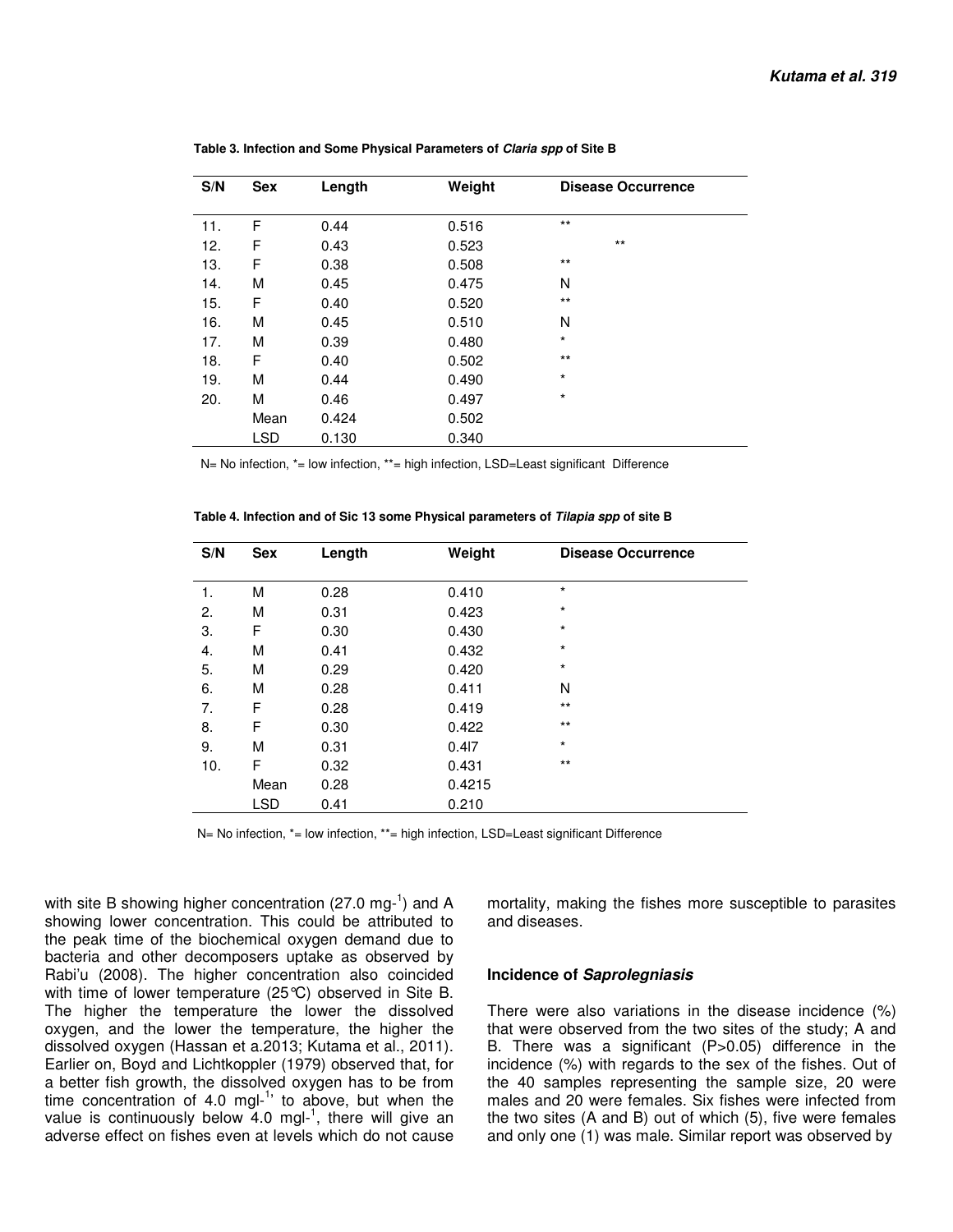| S/N | <b>Sex</b> | Length | Weight | <b>Disease Occurrence</b> |
|-----|------------|--------|--------|---------------------------|
|     |            |        |        |                           |
| 11. | F          | 0.44   | 0.516  | $\star\star$              |
| 12. | F          | 0.43   | 0.523  | $***$                     |
| 13. | F          | 0.38   | 0.508  | $***$                     |
| 14. | М          | 0.45   | 0.475  | N                         |
| 15. | F          | 0.40   | 0.520  | $***$                     |
| 16. | М          | 0.45   | 0.510  | N                         |
| 17. | М          | 0.39   | 0.480  | $\star$                   |
| 18. | F          | 0.40   | 0.502  | $***$                     |
| 19. | М          | 0.44   | 0.490  | $\star$                   |
| 20. | М          | 0.46   | 0.497  | $\star$                   |
|     | Mean       | 0.424  | 0.502  |                           |
|     | <b>LSD</b> | 0.130  | 0.340  |                           |

 **Table 3. Infection and Some Physical Parameters of Claria spp of Site B** 

N= No infection, \*= low infection, \*\*= high infection, LSD=Least significant Difference

| S/N | <b>Sex</b> | Length | Weight | <b>Disease Occurrence</b> |
|-----|------------|--------|--------|---------------------------|
| 1.  | М          | 0.28   | 0.410  | $\star$                   |
| 2.  | М          | 0.31   | 0.423  | $\star$                   |
| 3.  | F          | 0.30   | 0.430  | $\star$                   |
| 4.  | М          | 0.41   | 0.432  | $\star$                   |
| 5.  | М          | 0.29   | 0.420  | $\star$                   |
| 6.  | M          | 0.28   | 0.411  | N                         |
| 7.  | F          | 0.28   | 0.419  | $***$                     |
| 8.  | F          | 0.30   | 0.422  | $***$                     |
| 9.  | M          | 0.31   | 0.417  | $\star$                   |
| 10. | F          | 0.32   | 0.431  | $***$                     |
|     | Mean       | 0.28   | 0.4215 |                           |
|     | <b>LSD</b> | 0.41   | 0.210  |                           |

 **Table 4. Infection and of Sic 13 some Physical parameters of Tilapia spp of site B** 

N= No infection, \*= low infection, \*\*= high infection, LSD=Least significant Difference

with site B showing higher concentration (27.0 mg- $^1$ ) and A showing lower concentration. This could be attributed to the peak time of the biochemical oxygen demand due to bacteria and other decomposers uptake as observed by Rabi'u (2008). The higher concentration also coincided with time of lower temperature (25°C) observed in Site B. The higher the temperature the lower the dissolved oxygen, and the lower the temperature, the higher the dissolved oxygen (Hassan et a.2013; Kutama et al., 2011). Earlier on, Boyd and Lichtkoppler (1979) observed that, for a better fish growth, the dissolved oxygen has to be from time concentration of 4.0 mgl- $1$ <sup>t</sup> to above, but when the value is continuously below  $4.0$  mgl-<sup>1</sup>, there will give an adverse effect on fishes even at levels which do not cause

mortality, making the fishes more susceptible to parasites and diseases.

#### **Incidence of Saprolegniasis**

There were also variations in the disease incidence (%) that were observed from the two sites of the study; A and B. There was a significant (P>0.05) difference in the incidence (%) with regards to the sex of the fishes. Out of the 40 samples representing the sample size, 20 were males and 20 were females. Six fishes were infected from the two sites (A and B) out of which (5), five were females and only one (1) was male. Similar report was observed by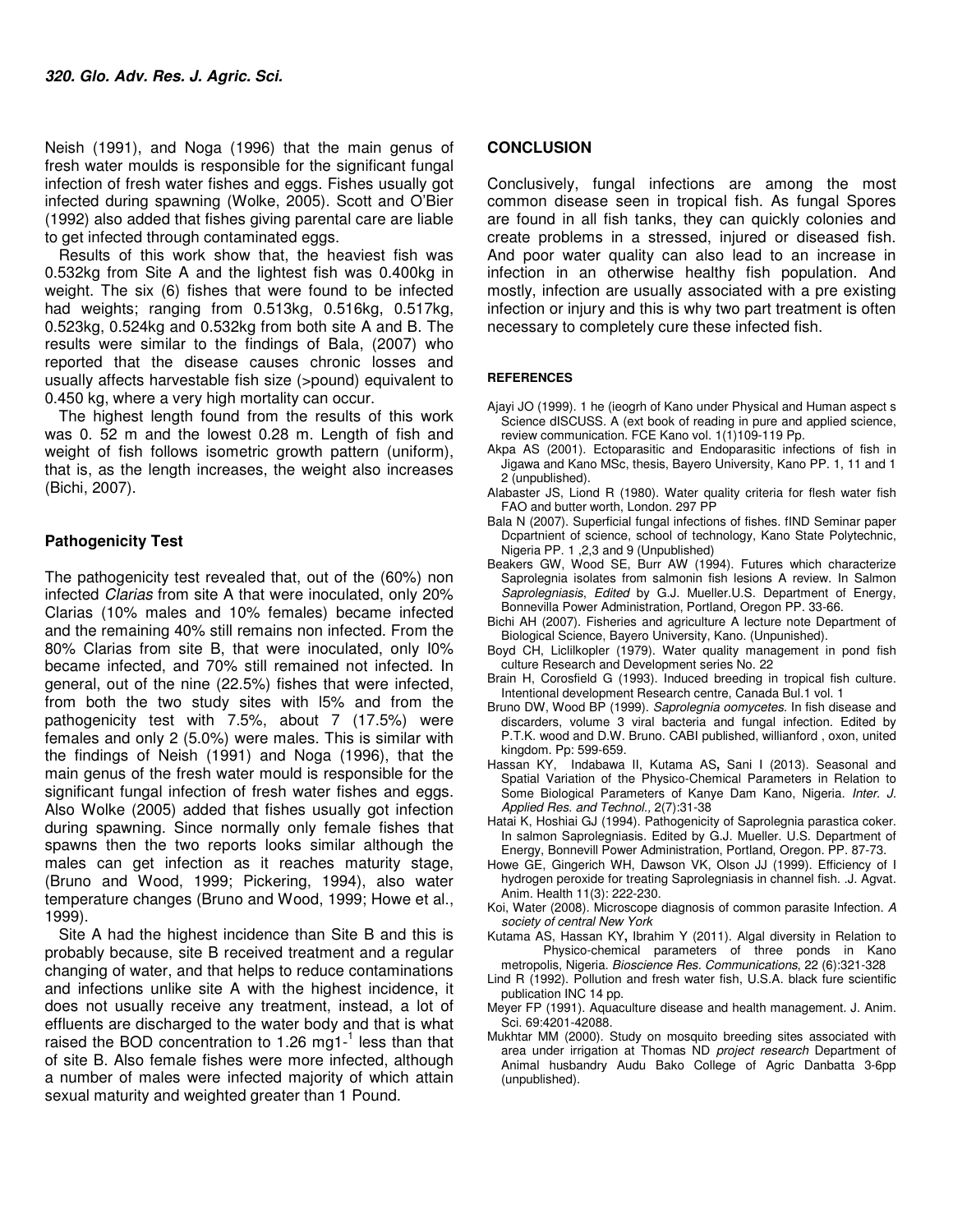Neish (1991), and Noga (1996) that the main genus of fresh water moulds is responsible for the significant fungal infection of fresh water fishes and eggs. Fishes usually got infected during spawning (Wolke, 2005). Scott and O'Bier (1992) also added that fishes giving parental care are liable to get infected through contaminated eggs.

Results of this work show that, the heaviest fish was 0.532kg from Site A and the lightest fish was 0.400kg in weight. The six (6) fishes that were found to be infected had weights; ranging from 0.513kg, 0.516kg, 0.517kg, 0.523kg, 0.524kg and 0.532kg from both site A and B. The results were similar to the findings of Bala, (2007) who reported that the disease causes chronic losses and usually affects harvestable fish size (>pound) equivalent to 0.450 kg, where a very high mortality can occur.

The highest length found from the results of this work was 0. 52 m and the lowest 0.28 m. Length of fish and weight of fish follows isometric growth pattern (uniform), that is, as the length increases, the weight also increases (Bichi, 2007).

#### **Pathogenicity Test**

The pathogenicity test revealed that, out of the (60%) non infected Clarias from site A that were inoculated, only 20% Clarias (10% males and 10% females) became infected and the remaining 40% still remains non infected. From the 80% Clarias from site B, that were inoculated, only I0% became infected, and 70% still remained not infected. In general, out of the nine (22.5%) fishes that were infected, from both the two study sites with l5% and from the pathogenicity test with 7.5%, about 7 (17.5%) were females and only 2 (5.0%) were males. This is similar with the findings of Neish (1991) and Noga (1996), that the main genus of the fresh water mould is responsible for the significant fungal infection of fresh water fishes and eggs. Also Wolke (2005) added that fishes usually got infection during spawning. Since normally only female fishes that spawns then the two reports looks similar although the males can get infection as it reaches maturity stage, (Bruno and Wood, 1999; Pickering, 1994), also water temperature changes (Bruno and Wood, 1999; Howe et al., 1999).

Site A had the highest incidence than Site B and this is probably because, site B received treatment and a regular changing of water, and that helps to reduce contaminations and infections unlike site A with the highest incidence, it does not usually receive any treatment, instead, a lot of effluents are discharged to the water body and that is what raised the BOD concentration to 1.26 mg1- $1$  less than that of site B. Also female fishes were more infected, although a number of males were infected majority of which attain sexual maturity and weighted greater than 1 Pound.

#### **CONCLUSION**

Conclusively, fungal infections are among the most common disease seen in tropical fish. As fungal Spores are found in all fish tanks, they can quickly colonies and create problems in a stressed, injured or diseased fish. And poor water quality can also lead to an increase in infection in an otherwise healthy fish population. And mostly, infection are usually associated with a pre existing infection or injury and this is why two part treatment is often necessary to completely cure these infected fish.

#### **REFERENCES**

- Ajayi JO (1999). 1 he (ieogrh of Kano under Physical and Human aspect s Science dISCUSS. A (ext book of reading in pure and applied science, review communication. FCE Kano vol. 1(1)109-119 Pp.
- Akpa AS (2001). Ectoparasitic and Endoparasitic infections of fish in Jigawa and Kano MSc, thesis, Bayero University, Kano PP. 1, 11 and 1 2 (unpublished).
- Alabaster JS, Liond R (1980). Water quality criteria for flesh water fish FAO and butter worth, London. 297 PP
- Bala N (2007). Superficial fungal infections of fishes. fIND Seminar paper Dcpartnient of science, school of technology, Kano State Polytechnic, Nigeria PP. 1 ,2,3 and 9 (Unpublished)
- Beakers GW, Wood SE, Burr AW (1994). Futures which characterize Saprolegnia isolates from salmonin fish lesions A review. In Salmon Saprolegniasis, Edited by G.J. Mueller.U.S. Department of Energy, Bonnevilla Power Administration, Portland, Oregon PP. 33-66.
- Bichi AH (2007). Fisheries and agriculture A lecture note Department of Biological Science, Bayero University, Kano. (Unpunished).
- Boyd CH, Liclilkopler (1979). Water quality management in pond fish culture Research and Development series No. 22
- Brain H, Corosfield G (1993). Induced breeding in tropical fish culture. Intentional development Research centre, Canada Bul.1 vol. 1
- Bruno DW, Wood BP (1999). Saprolegnia oomycetes. In fish disease and discarders, volume 3 viral bacteria and fungal infection. Edited by P.T.K. wood and D.W. Bruno. CABI published, willianford , oxon, united kingdom. Pp: 599-659.
- Hassan KY, Indabawa II, Kutama AS**,** Sani I (2013). Seasonal and Spatial Variation of the Physico-Chemical Parameters in Relation to Some Biological Parameters of Kanye Dam Kano, Nigeria. Inter. J. Applied Res. and Technol., 2(7):31-38
- Hatai K, Hoshiai GJ (1994). Pathogenicity of Saprolegnia parastica coker. In salmon Saprolegniasis. Edited by G.J. Mueller. U.S. Department of Energy, Bonnevill Power Administration, Portland, Oregon. PP. 87-73.
- Howe GE, Gingerich WH, Dawson VK, Olson JJ (1999). Efficiency of I hydrogen peroxide for treating Saprolegniasis in channel fish. .J. Agvat. Anim. Health 11(3): 222-230.
- Koi, Water (2008). Microscope diagnosis of common parasite Infection. A society of central New York
- Kutama AS, Hassan KY**,** Ibrahim Y (2011). Algal diversity in Relation to Physico-chemical parameters of three ponds in Kano metropolis, Nigeria. Bioscience Res. Communications, 22 (6):321-328
- Lind R (1992). Pollution and fresh water fish, U.S.A. black fure scientific publication INC 14 pp.
- Meyer FP (1991). Aquaculture disease and health management. J. Anim. Sci. 69:4201-42088.
- Mukhtar MM (2000). Study on mosquito breeding sites associated with area under irrigation at Thomas ND project research Department of Animal husbandry Audu Bako College of Agric Danbatta 3-6pp (unpublished).